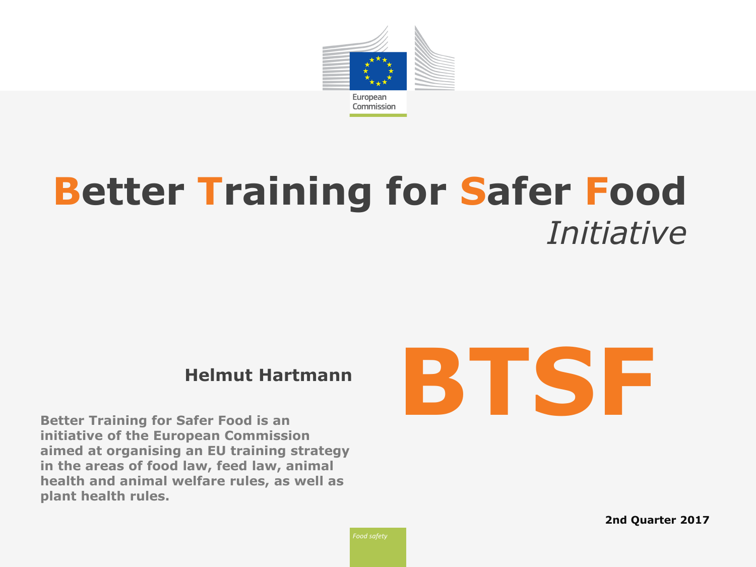

# **Better Training for Safer Food** *Initiative*

**Better Training for Safer Food is an initiative of the European Commission aimed at organising an EU training strategy in the areas of food law, feed law, animal health and animal welfare rules, as well as plant health rules.**

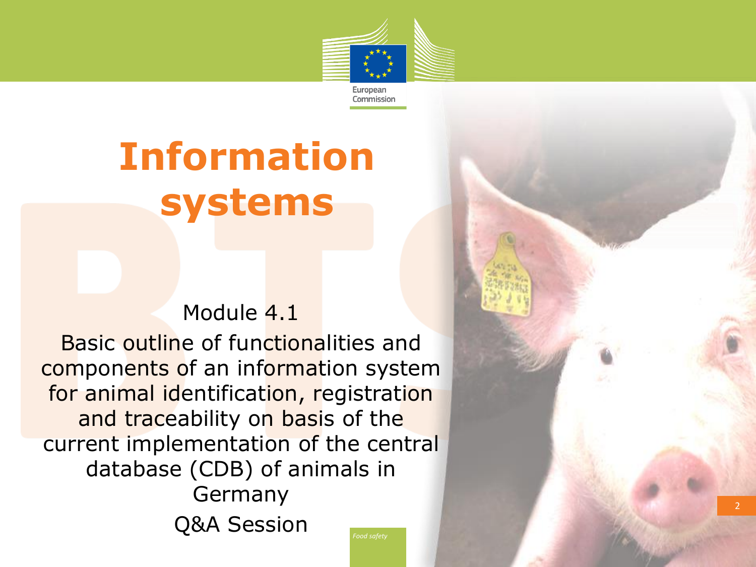

# **Information systems**

#### Module 4.1

Basic outline of functionalities and components of an information system for animal identification, registration and traceability on basis of the current implementation of the central database (CDB) of animals in Germany Q&A Session

2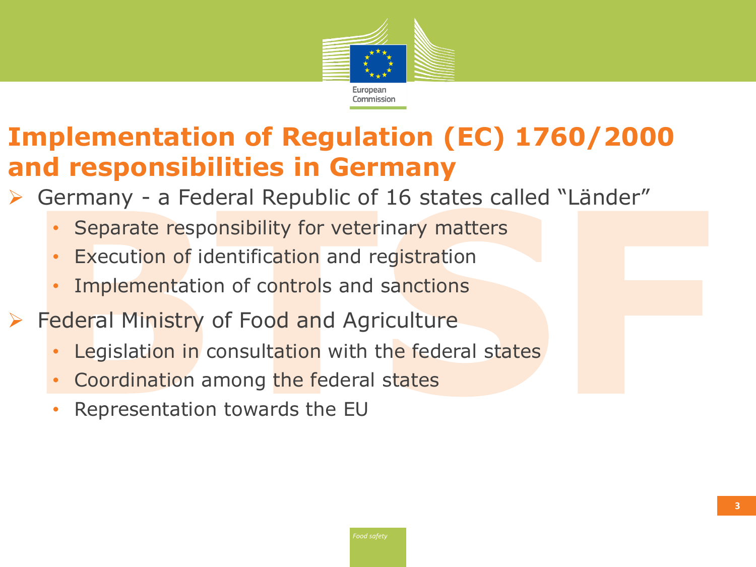

# **Implementation of Regulation (EC) 1760/2000 and responsibilities in Germany**

- Germany a Federal Republic of 16 states called "Länder"
	- Separate responsibility for veterinary matters
	- **Execution of identification and registration**
	- Implementation of controls and sanctions
- **Federal Ministry of Food and Agriculture** 
	- Legislation in consultation with the federal states
	- Coordination among the federal states
	- Representation towards the EU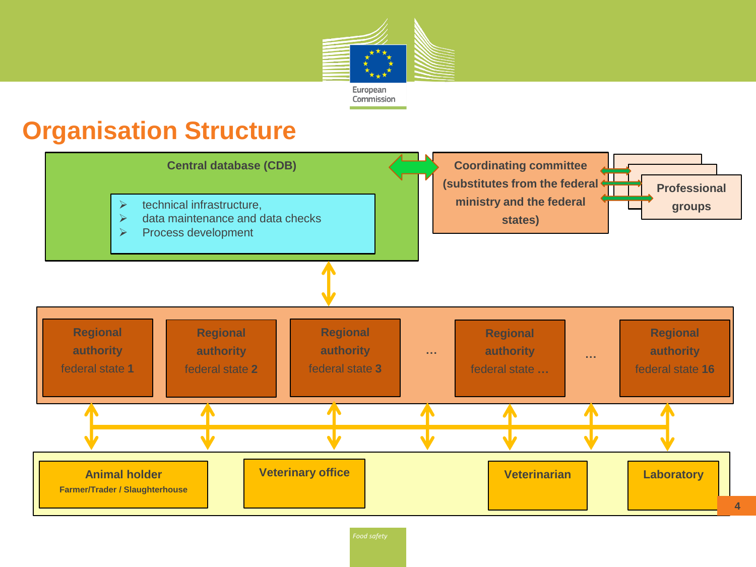

## **Organisation Structure**



*Food safety*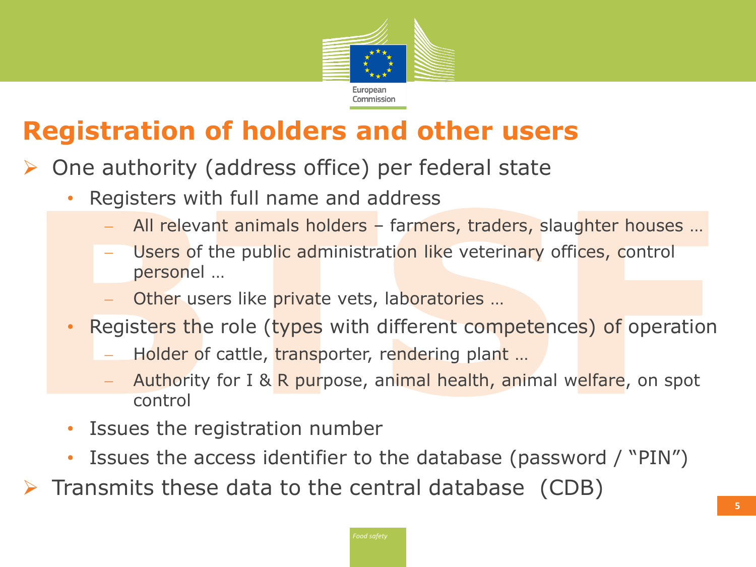

# **Registration of holders and other users**

- One authority (address office) per federal state
	- Registers with full name and address
		- All relevant animals holders farmers, traders, slaughter houses …
		- Users of the public administration like veterinary offices, control personel …
		- Other users like private vets, laboratories …
	- Registers the role (types with different competences) of operation
		- Holder of cattle, transporter, rendering plant ...
		- Authority for I & R purpose, animal health, animal welfare, on spot control
	- Issues the registration number
	- Issues the access identifier to the database (password / "PIN")
- $\triangleright$  Transmits these data to the central database (CDB)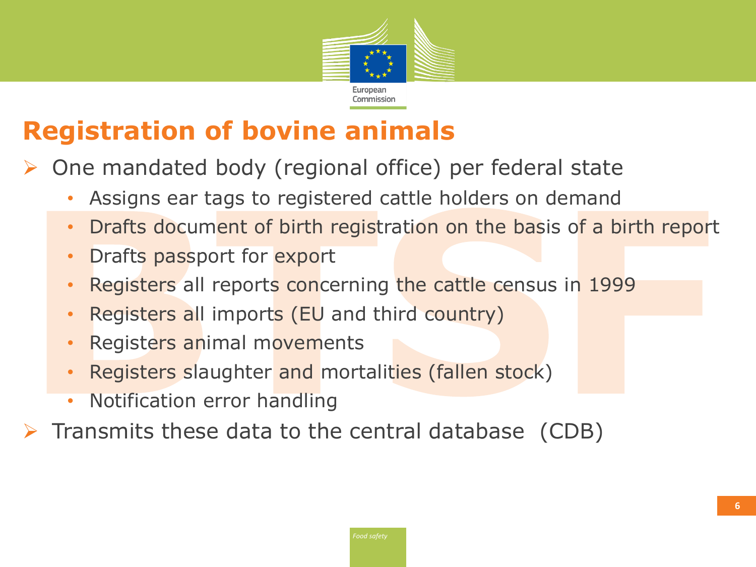

# **Registration of bovine animals**

One mandated body (regional office) per federal state

- Assigns ear tags to registered cattle holders on demand
- Drafts document of birth registration on the basis of a birth report
- Drafts passport for export
- Registers all reports concerning the cattle census in 1999
- Registers all imports (EU and third country)
- Registers animal movements
- Registers slaughter and mortalities (fallen stock)
- Notification error handling
- Transmits these data to the central database (CDB)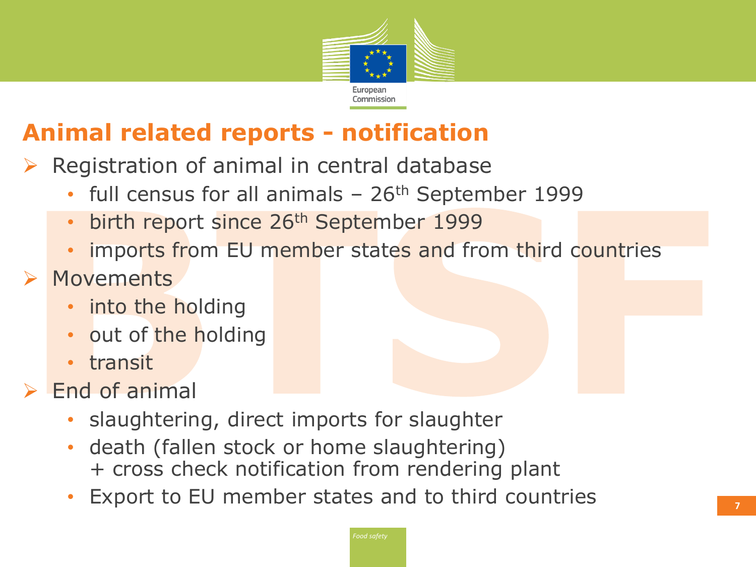

## **Animal related reports - notification**

- Registration of animal in central database
	- full census for all animals  $-26$ <sup>th</sup> September 1999
	- birth report since 26<sup>th</sup> September 1999
	- imports from EU member states and from third countries
- **EXA** Movements
	- into the holding
	- out of the holding
	- transit
- $\triangleright$  End of animal
	- slaughtering, direct imports for slaughter
	- death (fallen stock or home slaughtering) + cross check notification from rendering plant
	- Export to EU member states and to third countries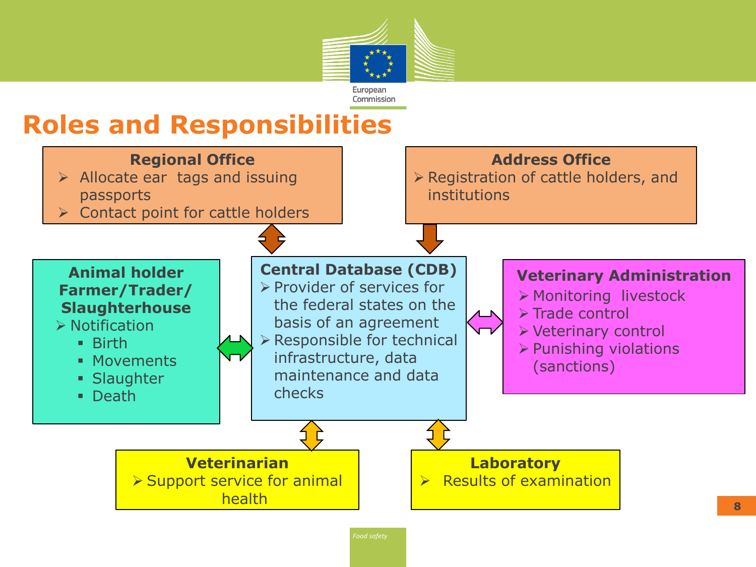

## **Roles and Responsibilities**

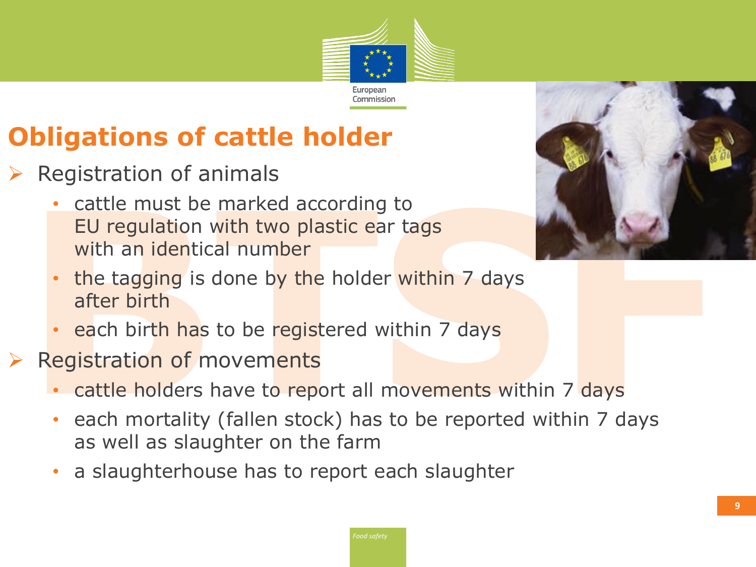

# **Obligations of cattle holder**

- Registration of animals
	- cattle must be marked according to EU regulation with two plastic ear tags with an identical number



- the tagging is done by the holder within 7 days after birth
- each birth has to be registered within 7 days
- Registration of movements
	- cattle holders have to report all movements within 7 days
	- each mortality (fallen stock) has to be reported within 7 days as well as slaughter on the farm
	- a slaughterhouse has to report each slaughter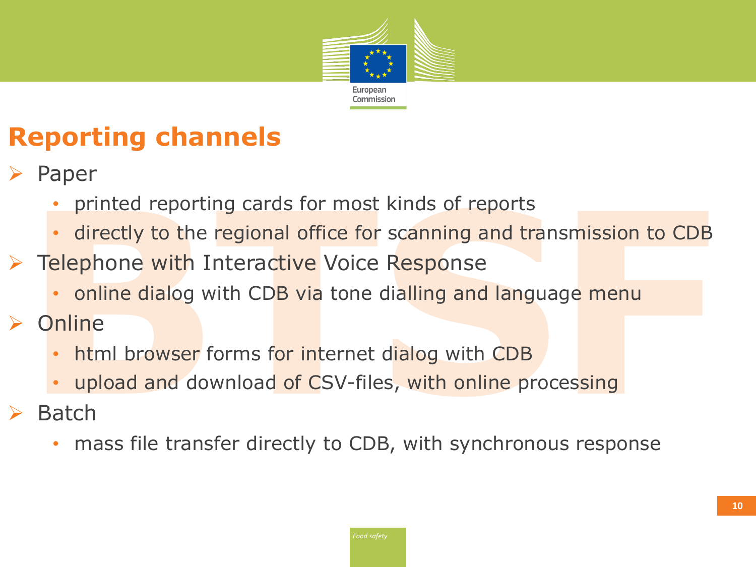

# **Reporting channels**

- Paper
	- printed reporting cards for most kinds of reports
	- directly to the regional office for scanning and transmission to CDB
- ▶ Telephone with Interactive Voice Response
	- online dialog with CDB via tone dialling and language menu
- $\triangleright$  Online
	- html browser forms for internet dialog with CDB
	- upload and download of CSV-files, with online processing
- $\triangleright$  Batch
	- mass file transfer directly to CDB, with synchronous response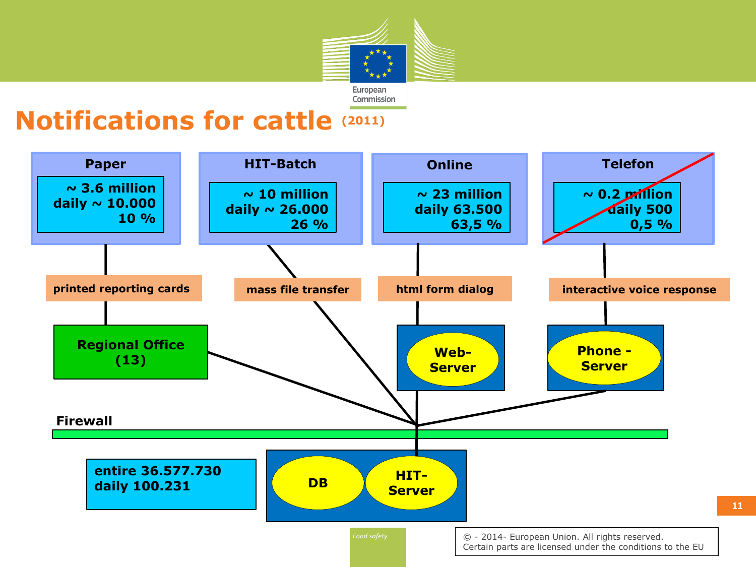

### **Notifications for cattle (2011)**

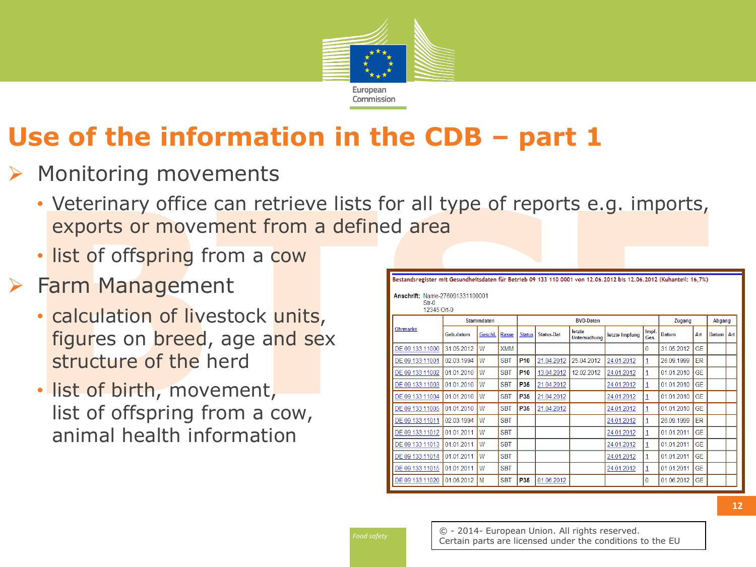

#### Monitoring movements

- Veterinary office can retrieve lists for all type of reports e.g. imports, exports or movement from a defined area
- list of offspring from a cow

### $\triangleright$  Farm Management

- calculation of livestock units, figures on breed, age and sex structure of the herd
- list of birth, movement, list of offspring from a cow, animal health information

| Anschrift: Name-276091331100001<br>$Str-0$<br>12345 Ort-0 |            |         |              |                  |            |                               |                |               |            |           |             |  |
|-----------------------------------------------------------|------------|---------|--------------|------------------|------------|-------------------------------|----------------|---------------|------------|-----------|-------------|--|
| <b>Ohrmarke</b>                                           | Stammdaten |         |              | <b>BVD-Daten</b> |            |                               |                |               | Zugang     |           | Abgang      |  |
|                                                           | Geb.datum  | Geschl. | <b>Rasse</b> | <b>Status</b>    | Status-Dat | letzte<br><b>Untersuchung</b> | letzte Impfung | Impf.<br>Ges. | Datum      | Art       | Datum   Art |  |
| DE 09 133 11000                                           | 31.05.2012 | W       | <b>XMM</b>   |                  |            |                               |                | $\Omega$      | 31.05.2012 | <b>GE</b> |             |  |
| DE 09 133 11001                                           | 02 03 1994 | W       | <b>SBT</b>   | P <sub>10</sub>  | 21.04.2012 | 25.04.2012                    | 24.01.2012     | 1             | 26.09.1999 | ER        |             |  |
| DE 09 133 11002                                           | 01.01.2010 | W       | <b>SBT</b>   | P <sub>10</sub>  | 13.04.2012 | 12.02.2012                    | 24.01.2012     | 1             | 01.01.2010 | <b>GE</b> |             |  |
| DE 09 133 11003                                           | 01.01.2010 | W       | <b>SBT</b>   | P35              | 21.04.2012 |                               | 24.01.2012     |               | 01.01.2010 | GE        |             |  |
| DE 09 133 11004                                           | 01.01.2010 | W       | <b>SBT</b>   | P35              | 21.04.2012 |                               | 24.01.2012     | 1             | 01.01.2010 | <b>GE</b> |             |  |
| DE 09 133 11005                                           | 01.01.2010 | W       | <b>SBT</b>   | P35              | 21.04.2012 |                               | 24.01.2012     |               | 01.01.2010 | <b>GE</b> |             |  |
| DE 09 133 11011                                           | 02.03.1994 | W       | <b>SBT</b>   |                  |            |                               | 24.01.2012     | 1             | 26.09.1999 | ER        |             |  |
| DE 09 133 11012                                           | 01.01.2011 | W       | <b>SBT</b>   |                  |            |                               | 24.01.2012     |               | 01.01.2011 | <b>GE</b> |             |  |
| DE 09 133 11013                                           | 01.01.2011 | W       | <b>SBT</b>   |                  |            |                               | 24.01.2012     | 1             | 01.01.2011 | GE        |             |  |
| DE 09 133 11014                                           | 01.01.2011 | W       | <b>SBT</b>   |                  |            |                               | 24.01.2012     |               | 01.01.2011 | <b>GE</b> |             |  |
| DE 09 133 11015                                           | 01.01.2011 | W       | <b>SBT</b>   |                  |            |                               | 24.01.2012     | 1             | 01.01.2011 | <b>GE</b> |             |  |
| DE 09 133 11020                                           | 01.06.2012 | M       | <b>SBT</b>   | P35              | 01.06.2012 |                               |                | 0             | 01.06.2012 | <b>GE</b> |             |  |

Bestandsregister mit Gesundheitsdaten für Betrieb 09 133 110 0001 von 12.06.2012 bis 12.06.2012 (Kuhanteil: 16.7%)

*Food safety*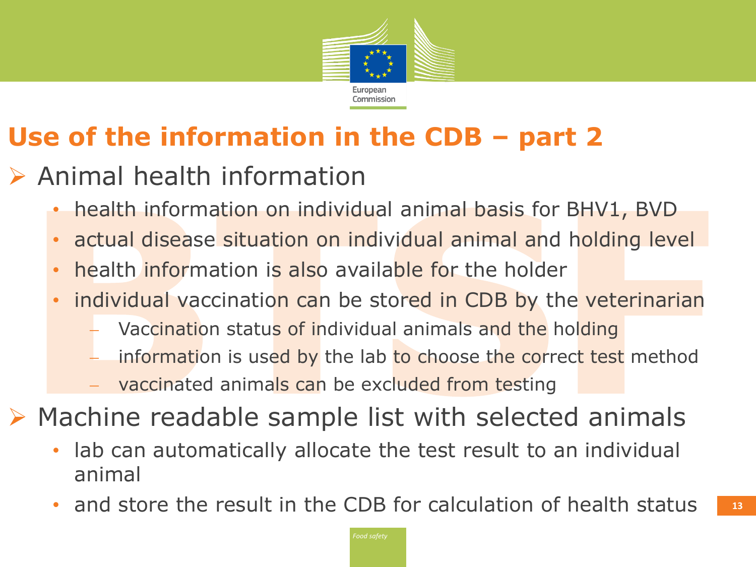

- $\triangleright$  Animal health information
	- health information on individual animal basis for BHV1, BVD
	- actual disease situation on individual animal and holding level
	- health information is also available for the holder
	- individual vaccination can be stored in CDB by the veterinarian
		- Vaccination status of individual animals and the holding
		- information is used by the lab to choose the correct test method
		- vaccinated animals can be excluded from testing
- $\triangleright$  Machine readable sample list with selected animals
	- lab can automatically allocate the test result to an individual animal
	- and store the result in the CDB for calculation of health status  $\blacksquare$  13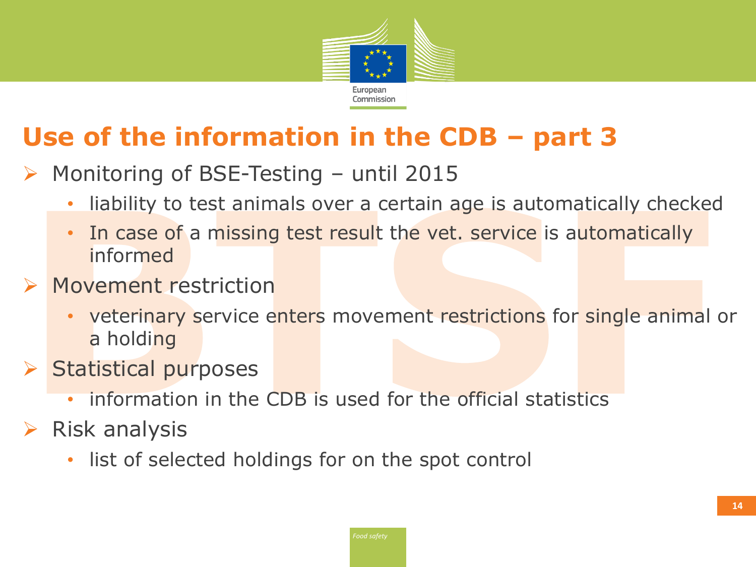

- Monitoring of BSE-Testing until 2015
	- liability to test animals over a certain age is automatically checked
	- In case of a missing test result the vet. service is automatically informed
- Movement restriction
	- veterinary service enters movement restrictions for single animal or a holding
- $\triangleright$  Statistical purposes
	- information in the CDB is used for the official statistics
- $\triangleright$  Risk analysis
	- list of selected holdings for on the spot control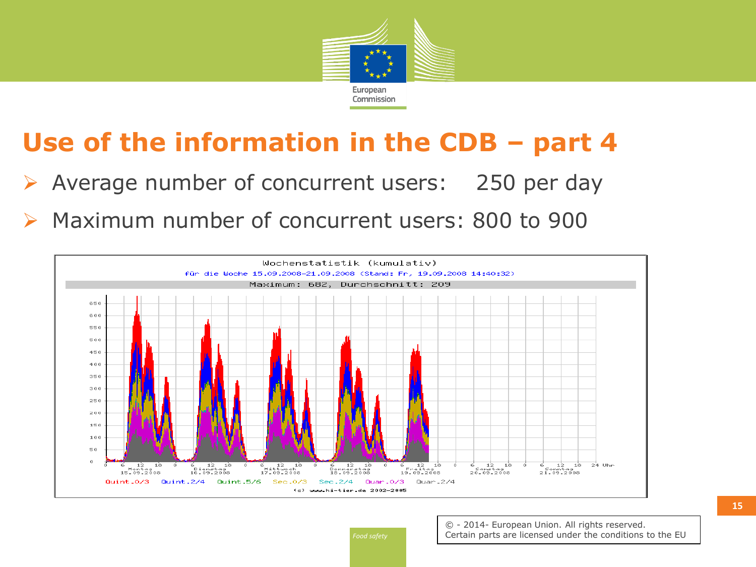

- Average number of concurrent users: 250 per day
- Maximum number of concurrent users: 800 to 900



*Food safety*

© - 2014- European Union. All rights reserved. Certain parts are licensed under the conditions to the EU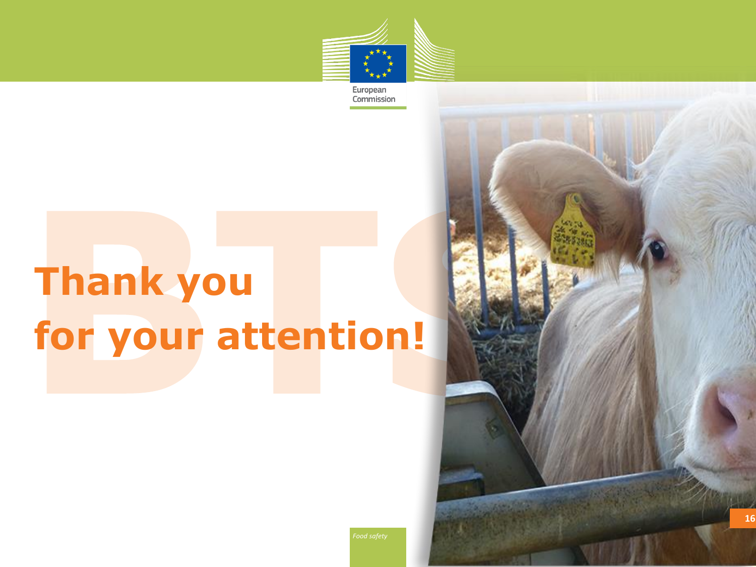

European Commission

# **Thank you for your attention!**



*Food safety*